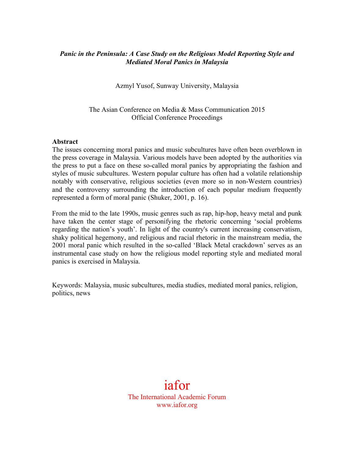## *Panic in the Peninsula: A Case Study on the Religious Model Reporting Style and Mediated Moral Panics in Malaysia*

Azmyl Yusof, Sunway University, Malaysia

The Asian Conference on Media & Mass Communication 2015 Official Conference Proceedings

#### **Abstract**

The issues concerning moral panics and music subcultures have often been overblown in the press coverage in Malaysia. Various models have been adopted by the authorities via the press to put a face on these so-called moral panics by appropriating the fashion and styles of music subcultures. Western popular culture has often had a volatile relationship notably with conservative, religious societies (even more so in non-Western countries) and the controversy surrounding the introduction of each popular medium frequently represented a form of moral panic (Shuker, 2001, p. 16).

From the mid to the late 1990s, music genres such as rap, hip-hop, heavy metal and punk have taken the center stage of personifying the rhetoric concerning 'social problems regarding the nation's youth'. In light of the country's current increasing conservatism, shaky political hegemony, and religious and racial rhetoric in the mainstream media, the 2001 moral panic which resulted in the so-called 'Black Metal crackdown' serves as an instrumental case study on how the religious model reporting style and mediated moral panics is exercised in Malaysia.

Keywords: Malaysia, music subcultures, media studies, mediated moral panics, religion, politics, news

# iafor The International Academic Forum www.iafor.org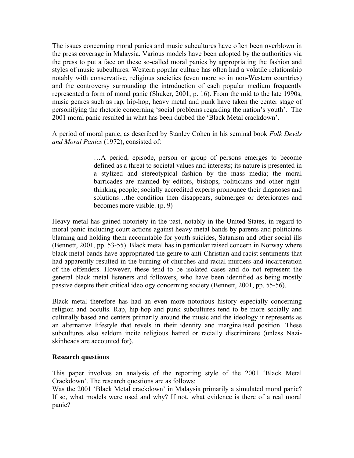The issues concerning moral panics and music subcultures have often been overblown in the press coverage in Malaysia. Various models have been adopted by the authorities via the press to put a face on these so-called moral panics by appropriating the fashion and styles of music subcultures. Western popular culture has often had a volatile relationship notably with conservative, religious societies (even more so in non-Western countries) and the controversy surrounding the introduction of each popular medium frequently represented a form of moral panic (Shuker, 2001, p. 16). From the mid to the late 1990s, music genres such as rap, hip-hop, heavy metal and punk have taken the center stage of personifying the rhetoric concerning 'social problems regarding the nation's youth'. The 2001 moral panic resulted in what has been dubbed the 'Black Metal crackdown'.

A period of moral panic, as described by Stanley Cohen in his seminal book *Folk Devils and Moral Panics* (1972), consisted of:

> …A period, episode, person or group of persons emerges to become defined as a threat to societal values and interests; its nature is presented in a stylized and stereotypical fashion by the mass media; the moral barricades are manned by editors, bishops, politicians and other rightthinking people; socially accredited experts pronounce their diagnoses and solutions…the condition then disappears, submerges or deteriorates and becomes more visible. (p. 9)

Heavy metal has gained notoriety in the past, notably in the United States, in regard to moral panic including court actions against heavy metal bands by parents and politicians blaming and holding them accountable for youth suicides, Satanism and other social ills (Bennett, 2001, pp. 53-55). Black metal has in particular raised concern in Norway where black metal bands have appropriated the genre to anti-Christian and racist sentiments that had apparently resulted in the burning of churches and racial murders and incarceration of the offenders. However, these tend to be isolated cases and do not represent the general black metal listeners and followers, who have been identified as being mostly passive despite their critical ideology concerning society (Bennett, 2001, pp. 55-56).

Black metal therefore has had an even more notorious history especially concerning religion and occults. Rap, hip-hop and punk subcultures tend to be more socially and culturally based and centers primarily around the music and the ideology it represents as an alternative lifestyle that revels in their identity and marginalised position. These subcultures also seldom incite religious hatred or racially discriminate (unless Naziskinheads are accounted for).

#### **Research questions**

This paper involves an analysis of the reporting style of the 2001 'Black Metal Crackdown'. The research questions are as follows:

Was the 2001 'Black Metal crackdown' in Malaysia primarily a simulated moral panic? If so, what models were used and why? If not, what evidence is there of a real moral panic?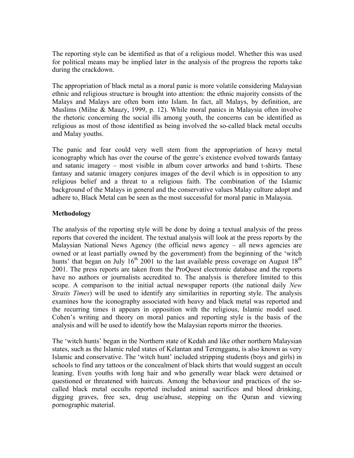The reporting style can be identified as that of a religious model. Whether this was used for political means may be implied later in the analysis of the progress the reports take during the crackdown.

The appropriation of black metal as a moral panic is more volatile considering Malaysian ethnic and religious structure is brought into attention: the ethnic majority consists of the Malays and Malays are often born into Islam. In fact, all Malays, by definition, are Muslims (Milne & Mauzy, 1999, p. 12). While moral panics in Malaysia often involve the rhetoric concerning the social ills among youth, the concerns can be identified as religious as most of those identified as being involved the so-called black metal occults and Malay youths.

The panic and fear could very well stem from the appropriation of heavy metal iconography which has over the course of the genre's existence evolved towards fantasy and satanic imagery – most visible in album cover artworks and band t-shirts. These fantasy and satanic imagery conjures images of the devil which is in opposition to any religious belief and a threat to a religious faith. The combination of the Islamic background of the Malays in general and the conservative values Malay culture adopt and adhere to, Black Metal can be seen as the most successful for moral panic in Malaysia.

## **Methodology**

The analysis of the reporting style will be done by doing a textual analysis of the press reports that covered the incident. The textual analysis will look at the press reports by the Malaysian National News Agency (the official news agency – all news agencies are owned or at least partially owned by the government) from the beginning of the 'witch hunts' that began on July  $16<sup>th</sup>$  2001 to the last available press coverage on August  $18<sup>th</sup>$ 2001. The press reports are taken from the ProQuest electronic database and the reports have no authors or journalists accredited to. The analysis is therefore limited to this scope. A comparison to the initial actual newspaper reports (the national daily *New Straits Times*) will be used to identify any similarities in reporting style. The analysis examines how the iconography associated with heavy and black metal was reported and the recurring times it appears in opposition with the religious, Islamic model used. Cohen's writing and theory on moral panics and reporting style is the basis of the analysis and will be used to identify how the Malaysian reports mirror the theories.

The 'witch hunts' began in the Northern state of Kedah and like other northern Malaysian states, such as the Islamic ruled states of Kelantan and Terengganu, is also known as very Islamic and conservative. The 'witch hunt' included stripping students (boys and girls) in schools to find any tattoos or the concealment of black shirts that would suggest an occult leaning. Even youths with long hair and who generally wear black were detained or questioned or threatened with haircuts. Among the behaviour and practices of the socalled black metal occults reported included animal sacrifices and blood drinking, digging graves, free sex, drug use/abuse, stepping on the Quran and viewing pornographic material.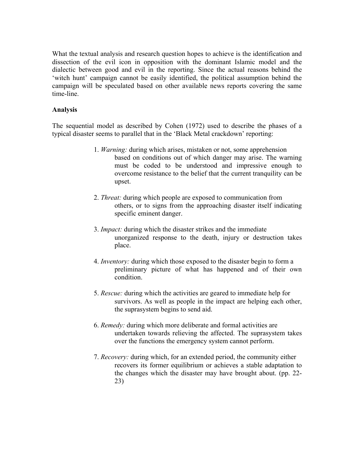What the textual analysis and research question hopes to achieve is the identification and dissection of the evil icon in opposition with the dominant Islamic model and the dialectic between good and evil in the reporting. Since the actual reasons behind the 'witch hunt' campaign cannot be easily identified, the political assumption behind the campaign will be speculated based on other available news reports covering the same time-line.

## **Analysis**

The sequential model as described by Cohen (1972) used to describe the phases of a typical disaster seems to parallel that in the 'Black Metal crackdown' reporting:

- 1. *Warning:* during which arises, mistaken or not, some apprehension based on conditions out of which danger may arise. The warning must be coded to be understood and impressive enough to overcome resistance to the belief that the current tranquility can be upset.
- 2. *Threat:* during which people are exposed to communication from others, or to signs from the approaching disaster itself indicating specific eminent danger.
- 3. *Impact:* during which the disaster strikes and the immediate unorganized response to the death, injury or destruction takes place.
- 4. *Inventory:* during which those exposed to the disaster begin to form a preliminary picture of what has happened and of their own condition.
- 5. *Rescue:* during which the activities are geared to immediate help for survivors. As well as people in the impact are helping each other, the suprasystem begins to send aid.
- 6. *Remedy:* during which more deliberate and formal activities are undertaken towards relieving the affected. The suprasystem takes over the functions the emergency system cannot perform.
- 7. *Recovery:* during which, for an extended period, the community either recovers its former equilibrium or achieves a stable adaptation to the changes which the disaster may have brought about. (pp. 22- 23)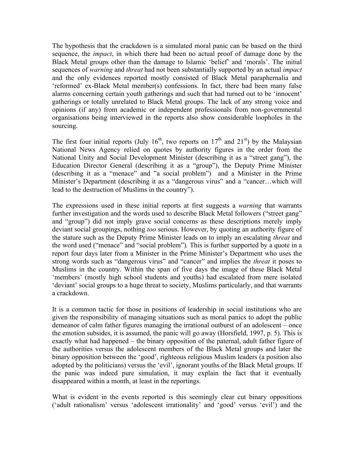The hypothesis that the crackdown is a simulated moral panic can be based on the third sequence, the *impact*, in which there had been no actual proof of damage done by the Black Metal groups other than the damage to Islamic 'belief' and 'morals'. The initial sequences of *warning* and *threat* had not been substantially supported by an actual *impact*  and the only evidences reported mostly consisted of Black Metal paraphernalia and 'reformed' ex-Black Metal member(s) confessions. In fact, there had been many false alarms concerning certain youth gatherings and such that had turned out to be 'innocent' gatherings or totally unrelated to Black Metal groups. The lack of any strong voice and opinions (if any) from academic or independent professionals from non-governmental organisations being interviewed in the reports also show considerable loopholes in the sourcing.

The first four initial reports (July  $16<sup>th</sup>$ , two reports on  $17<sup>th</sup>$  and  $21<sup>st</sup>$ ) by the Malaysian National News Agency relied on quotes by authority figures in the order from the National Unity and Social Development Minister (describing it as a "street gang"), the Education Director General (describing it as a "group"), the Deputy Prime Minister (describing it as a "menace" and "a social problem") and a Minister in the Prime Minister's Department (describing it as a "dangerous virus" and a "cancer…which will lead to the destruction of Muslims in the country").

The expressions used in these initial reports at first suggests a *warning* that warrants further investigation and the words used to describe Black Metal followers ("street gang" and "group") did not imply grave social concerns as these descriptions merely imply deviant social groupings, nothing *too* serious. However, by quoting an authority figure of the stature such as the Deputy Prime Minister leads on to imply an escalating *threat* and the word used ("menace" and "social problem")*.* This is further supported by a quote in a report four days later from a Minister in the Prime Minister's Department who uses the strong words such as "dangerous virus" and "cancer" and implies the *threat* it poses to Muslims in the country. Within the span of five days the image of these Black Metal 'members' (mostly high school students and youths) had escalated from mere isolated 'deviant' social groups to a huge threat to society, Muslims particularly, and that warrants a crackdown.

It is a common tactic for those in positions of leadership in social institutions who are given the responsibility of managing situations such as moral panics to adopt the public demeanor of calm father figures managing the irrational outburst of an adolescent – once the emotion subsides, it is assumed, the panic will go away (Horsfield, 1997, p. 5). This is exactly what had happened – the binary opposition of the paternal, adult father figure of the authorities versus the adolescent members of the Black Metal groups and later the binary opposition between the 'good', righteous religious Muslim leaders (a position also adopted by the politicians) versus the 'evil', ignorant youths of the Black Metal groups. If the panic was indeed pure simulation, it may explain the fact that it eventually disappeared within a month, at least in the reportings.

What is evident in the events reported is this seemingly clear cut binary oppositions ('adult rationalism' versus 'adolescent irrationality' and 'good' versus 'evil') and the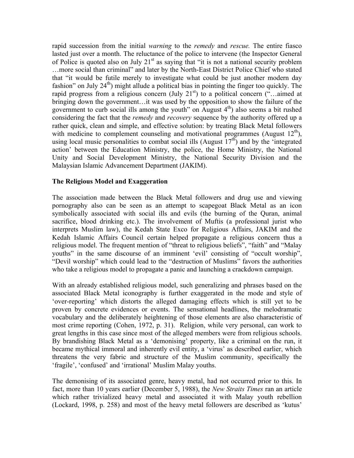rapid succession from the initial *warning* to the *remedy* and *rescue.* The entire fiasco lasted just over a month. The reluctance of the police to intervene (the Inspector General of Police is quoted also on July  $21<sup>st</sup>$  as saying that "it is not a national security problem …more social than criminal" and later by the North-East District Police Chief who stated that "it would be futile merely to investigate what could be just another modern day fashion" on July  $24<sup>th</sup>$ ) might allude a political bias in pointing the finger too quickly. The rapid progress from a religious concern (July  $21<sup>st</sup>$ ) to a political concern ("...aimed at bringing down the government…it was used by the opposition to show the failure of the government to curb social ills among the youth" on August  $4<sup>th</sup>$ ) also seems a bit rushed considering the fact that the *remedy* and *recovery* sequence by the authority offered up a rather quick, clean and simple, and effective solution: by treating Black Metal followers with medicine to complement counseling and motivational programmes (August  $12<sup>th</sup>$ ), using local music personalities to combat social ills (August  $17<sup>th</sup>$ ) and by the 'integrated action' between the Education Ministry, the police, the Home Ministry, the National Unity and Social Development Ministry, the National Security Division and the Malaysian Islamic Advancement Department (JAKIM).

#### **The Religious Model and Exaggeration**

The association made between the Black Metal followers and drug use and viewing pornography also can be seen as an attempt to scapegoat Black Metal as an icon symbolically associated with social ills and evils (the burning of the Quran, animal sacrifice, blood drinking etc.). The involvement of Muftis (a professional jurist who interprets Muslim law), the Kedah State Exco for Religious Affairs, JAKIM and the Kedah Islamic Affairs Council certain helped propagate a religious concern thus a religious model. The frequent mention of "threat to religious beliefs", "faith" and "Malay youths" in the same discourse of an imminent 'evil' consisting of "occult worship", "Devil worship" which could lead to the "destruction of Muslims" favors the authorities who take a religious model to propagate a panic and launching a crackdown campaign.

With an already established religious model, such generalizing and phrases based on the associated Black Metal iconography is further exaggerated in the mode and style of 'over-reporting' which distorts the alleged damaging effects which is still yet to be proven by concrete evidences or events. The sensational headlines, the melodramatic vocabulary and the deliberately heightening of those elements are also characteristic of most crime reporting (Cohen, 1972, p. 31). Religion, while very personal, can work to great lengths in this case since most of the alleged members were from religious schools. By brandishing Black Metal as a 'demonising' property, like a criminal on the run, it became mythical immoral and inherently evil entity, a 'virus' as described earlier, which threatens the very fabric and structure of the Muslim community, specifically the 'fragile', 'confused' and 'irrational' Muslim Malay youths.

The demonising of its associated genre, heavy metal, had not occurred prior to this. In fact, more than 10 years earlier (December 5, 1988), the *New Straits Times* ran an article which rather trivialized heavy metal and associated it with Malay youth rebellion (Lockard, 1998, p. 258) and most of the heavy metal followers are described as 'kutus'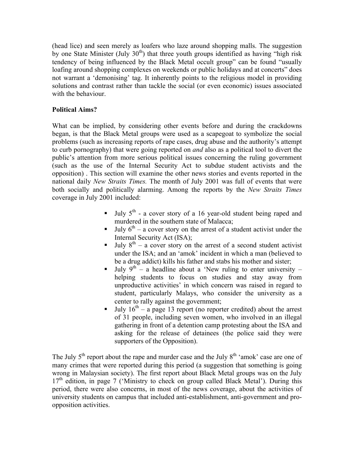(head lice) and seen merely as loafers who laze around shopping malls. The suggestion by one State Minister (July  $30<sup>th</sup>$ ) that three youth groups identified as having "high risk tendency of being influenced by the Black Metal occult group" can be found "usually loafing around shopping complexes on weekends or public holidays and at concerts" does not warrant a 'demonising' tag. It inherently points to the religious model in providing solutions and contrast rather than tackle the social (or even economic) issues associated with the behaviour.

## **Political Aims?**

What can be implied, by considering other events before and during the crackdowns began, is that the Black Metal groups were used as a scapegoat to symbolize the social problems (such as increasing reports of rape cases, drug abuse and the authority's attempt to curb pornography) that were going reported on *and* also as a political tool to divert the public's attention from more serious political issues concerning the ruling government (such as the use of the Internal Security Act to subdue student activists and the opposition) . This section will examine the other news stories and events reported in the national daily *New Straits Times.* The month of July 2001 was full of events that were both socially and politically alarming. Among the reports by the *New Straits Times* coverage in July 2001 included:

- $\blacksquare$  July 5<sup>th</sup> a cover story of a 16 year-old student being raped and murdered in the southern state of Malacca;
- July  $6<sup>th</sup>$  a cover story on the arrest of a student activist under the Internal Security Act (ISA);
- **July**  $8^{\text{th}}$  a cover story on the arrest of a second student activist under the ISA; and an 'amok' incident in which a man (believed to be a drug addict) kills his father and stabs his mother and sister;
- July  $9^{th}$  a headline about a 'New ruling to enter university helping students to focus on studies and stay away from unproductive activities' in which concern was raised in regard to student, particularly Malays, who consider the university as a center to rally against the government;
- July  $16<sup>th</sup> a$  page 13 report (no reporter credited) about the arrest of 31 people, including seven women, who involved in an illegal gathering in front of a detention camp protesting about the ISA and asking for the release of detainees (the police said they were supporters of the Opposition).

The July  $5<sup>th</sup>$  report about the rape and murder case and the July  $8<sup>th</sup>$  'amok' case are one of many crimes that were reported during this period (a suggestion that something is going wrong in Malaysian society). The first report about Black Metal groups was on the July  $17<sup>th</sup>$  edition, in page 7 ('Ministry to check on group called Black Metal'). During this period, there were also concerns, in most of the news coverage, about the activities of university students on campus that included anti-establishment, anti-government and proopposition activities.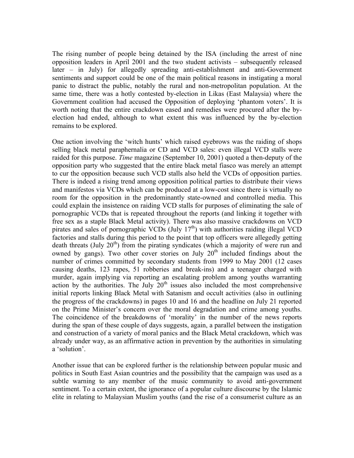The rising number of people being detained by the ISA (including the arrest of nine opposition leaders in April 2001 and the two student activists – subsequently released later – in July) for allegedly spreading anti-establishment and anti-Government sentiments and support could be one of the main political reasons in instigating a moral panic to distract the public, notably the rural and non-metropolitan population. At the same time, there was a hotly contested by-election in Likas (East Malaysia) where the Government coalition had accused the Opposition of deploying 'phantom voters'. It is worth noting that the entire crackdown eased and remedies were procured after the byelection had ended, although to what extent this was influenced by the by-election remains to be explored.

One action involving the 'witch hunts' which raised eyebrows was the raiding of shops selling black metal paraphernalia or CD and VCD sales: even illegal VCD stalls were raided for this purpose. *Time* magazine (September 10, 2001) quoted a then-deputy of the opposition party who suggested that the entire black metal fiasco was merely an attempt to cur the opposition because such VCD stalls also held the VCDs of opposition parties. There is indeed a rising trend among opposition political parties to distribute their views and manifestos via VCDs which can be produced at a low-cost since there is virtually no room for the opposition in the predominantly state-owned and controlled media. This could explain the insistence on raiding VCD stalls for purposes of eliminating the sale of pornographic VCDs that is repeated throughout the reports (and linking it together with free sex as a staple Black Metal activity). There was also massive crackdowns on VCD pirates and sales of pornographic VCDs  $(\text{July } 17<sup>th</sup>)$  with authorities raiding illegal VCD factories and stalls during this period to the point that top officers were allegedly getting death threats (July  $20<sup>th</sup>$ ) from the pirating syndicates (which a majority of were run and owned by gangs). Two other cover stories on July  $20<sup>th</sup>$  included findings about the number of crimes committed by secondary students from 1999 to May 2001 (12 cases causing deaths, 123 rapes, 51 robberies and break-ins) and a teenager charged with murder, again implying via reporting an escalating problem among youths warranting action by the authorities. The July  $20<sup>th</sup>$  issues also included the most comprehensive initial reports linking Black Metal with Satanism and occult activities (also in outlining the progress of the crackdowns) in pages 10 and 16 and the headline on July 21 reported on the Prime Minister's concern over the moral degradation and crime among youths. The coincidence of the breakdowns of 'morality' in the number of the news reports during the span of these couple of days suggests, again, a parallel between the instigation and construction of a variety of moral panics and the Black Metal crackdown, which was already under way, as an affirmative action in prevention by the authorities in simulating a 'solution'.

Another issue that can be explored further is the relationship between popular music and politics in South East Asian countries and the possibility that the campaign was used as a subtle warning to any member of the music community to avoid anti-government sentiment. To a certain extent, the ignorance of a popular culture discourse by the Islamic elite in relating to Malaysian Muslim youths (and the rise of a consumerist culture as an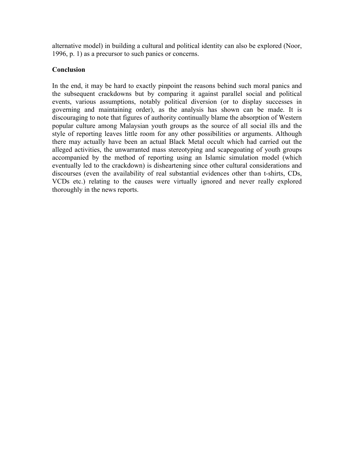alternative model) in building a cultural and political identity can also be explored (Noor, 1996, p. 1) as a precursor to such panics or concerns.

## **Conclusion**

In the end, it may be hard to exactly pinpoint the reasons behind such moral panics and the subsequent crackdowns but by comparing it against parallel social and political events, various assumptions, notably political diversion (or to display successes in governing and maintaining order), as the analysis has shown can be made. It is discouraging to note that figures of authority continually blame the absorption of Western popular culture among Malaysian youth groups as the source of all social ills and the style of reporting leaves little room for any other possibilities or arguments. Although there may actually have been an actual Black Metal occult which had carried out the alleged activities, the unwarranted mass stereotyping and scapegoating of youth groups accompanied by the method of reporting using an Islamic simulation model (which eventually led to the crackdown) is disheartening since other cultural considerations and discourses (even the availability of real substantial evidences other than t-shirts, CDs, VCDs etc.) relating to the causes were virtually ignored and never really explored thoroughly in the news reports.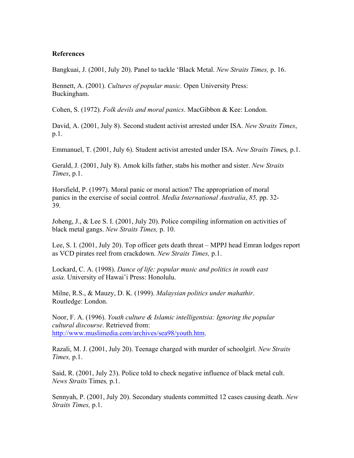#### **References**

Bangkuai, J. (2001, July 20). Panel to tackle 'Black Metal. *New Straits Times,* p. 16.

Bennett, A. (2001). *Cultures of popular music.* Open University Press: Buckingham.

Cohen, S. (1972). *Folk devils and moral panics*. MacGibbon & Kee: London.

David, A. (2001, July 8). Second student activist arrested under ISA. *New Straits Times*, p.1.

Emmanuel, T. (2001, July 6). Student activist arrested under ISA. *New Straits Time*s*,* p.1.

Gerald, J. (2001, July 8). Amok kills father, stabs his mother and sister. *New Straits Times*, p.1.

Horsfield, P. (1997). Moral panic or moral action? The appropriation of moral panics in the exercise of social control*. Media International Australia*, *85,* pp. 32- 39.

Joheng, J., & Lee S. I. (2001, July 20). Police compiling information on activities of black metal gangs. *New Straits Times,* p. 10.

Lee, S. I. (2001, July 20). Top officer gets death threat – MPPJ head Emran lodges report as VCD pirates reel from crackdown. *New Straits Times,* p.1.

Lockard, C. A. (1998). *Dance of life: popular music and politics in south east asia.* University of Hawai'i Press: Honolulu.

Milne, R.S., & Mauzy, D. K. (1999). *Malaysian politics under mahathir*. Routledge: London.

Noor, F. A. (1996). *Youth culture & Islamic intelligentsia: Ignoring the popular cultural discourse*. Retrieved from: http://www.muslimedia.com/archives/sea98/youth.htm.

Razali, M. J. (2001, July 20). Teenage charged with murder of schoolgirl. *New Straits Times,* p.1.

Said, R. (2001, July 23). Police told to check negative influence of black metal cult. *News Straits* Times*,* p.1.

Sennyah, P. (2001, July 20). Secondary students committed 12 cases causing death. *New Straits Times,* p.1.